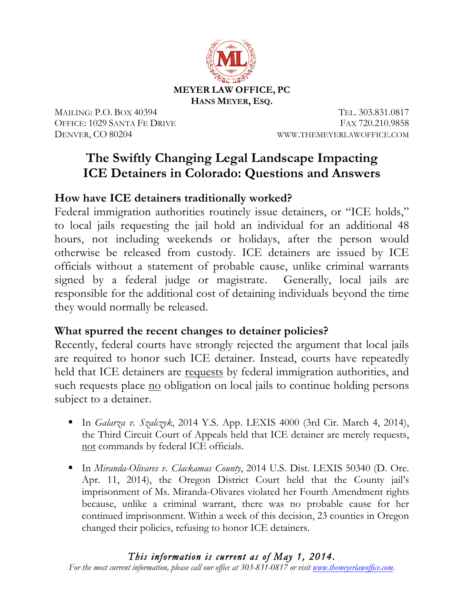

MAILING: P.O. BOX 40394 TEL. 303.831.0817 OFFICE: 1029 SANTA FE DRIVE FAX 720.210.9858 DENVER, CO 80204 WWW.THEMEYERLAWOFFICE.COM

# **The Swiftly Changing Legal Landscape Impacting ICE Detainers in Colorado: Questions and Answers**

## **How have ICE detainers traditionally worked?**

Federal immigration authorities routinely issue detainers, or "ICE holds," to local jails requesting the jail hold an individual for an additional 48 hours, not including weekends or holidays, after the person would otherwise be released from custody. ICE detainers are issued by ICE officials without a statement of probable cause, unlike criminal warrants signed by a federal judge or magistrate. Generally, local jails are responsible for the additional cost of detaining individuals beyond the time they would normally be released.

### **What spurred the recent changes to detainer policies?**

Recently, federal courts have strongly rejected the argument that local jails are required to honor such ICE detainer. Instead, courts have repeatedly held that ICE detainers are requests by federal immigration authorities, and such requests place no obligation on local jails to continue holding persons subject to a detainer.

- § In *Galarza v. Szalczyk*, 2014 Y.S. App. LEXIS 4000 (3rd Cir. March 4, 2014), the Third Circuit Court of Appeals held that ICE detainer are merely requests, not commands by federal ICE officials.
- In *Miranda-Olivares v. Clackamas County*, 2014 U.S. Dist. LEXIS 50340 (D. Ore. Apr. 11, 2014), the Oregon District Court held that the County jail's imprisonment of Ms. Miranda-Olivares violated her Fourth Amendment rights because, unlike a criminal warrant, there was no probable cause for her continued imprisonment. Within a week of this decision, 23 counties in Oregon changed their policies, refusing to honor ICE detainers.

#### *This information is current as of May 1, 2014.*

*For the most current information, please call our office at 303-831-0817 or visit www.themeyerlawoffice.com.*